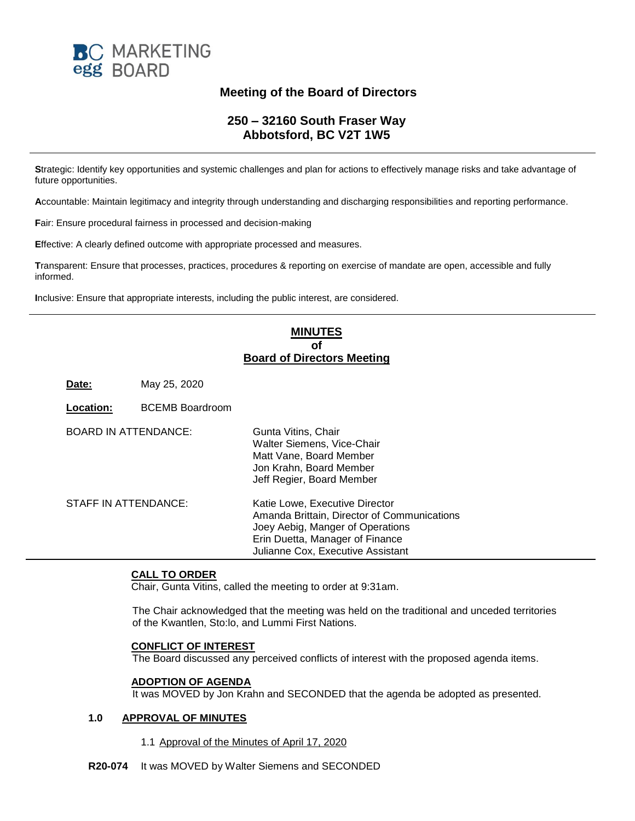

# **Meeting of the Board of Directors**

# **250 – 32160 South Fraser Way Abbotsford, BC V2T 1W5**

**S**trategic: Identify key opportunities and systemic challenges and plan for actions to effectively manage risks and take advantage of future opportunities.

**A**ccountable: Maintain legitimacy and integrity through understanding and discharging responsibilities and reporting performance.

**F**air: Ensure procedural fairness in processed and decision-making

**E**ffective: A clearly defined outcome with appropriate processed and measures.

**T**ransparent: Ensure that processes, practices, procedures & reporting on exercise of mandate are open, accessible and fully informed.

**I**nclusive: Ensure that appropriate interests, including the public interest, are considered.

## **MINUTES of Board of Directors Meeting**

**Date:** May 25, 2020

**Location:** BCEMB Boardroom

| <b>BOARD IN ATTENDANCE:</b> | Gunta Vitins, Chair<br>Walter Siemens, Vice-Chair<br>Matt Vane, Board Member<br>Jon Krahn, Board Member<br>Jeff Regier, Board Member                                                      |
|-----------------------------|-------------------------------------------------------------------------------------------------------------------------------------------------------------------------------------------|
| STAFF IN ATTENDANCE:        | Katie Lowe, Executive Director<br>Amanda Brittain, Director of Communications<br>Joey Aebig, Manger of Operations<br>Erin Duetta, Manager of Finance<br>Julianne Cox, Executive Assistant |

## **CALL TO ORDER**

Chair, Gunta Vitins, called the meeting to order at 9:31am.

The Chair acknowledged that the meeting was held on the traditional and unceded territories of the Kwantlen, Sto:lo, and Lummi First Nations.

## **CONFLICT OF INTEREST**

The Board discussed any perceived conflicts of interest with the proposed agenda items.

#### **ADOPTION OF AGENDA**

It was MOVED by Jon Krahn and SECONDED that the agenda be adopted as presented.

## **1.0 APPROVAL OF MINUTES**

1.1 Approval of the Minutes of April 17, 2020

**R20-074** It was MOVED by Walter Siemens and SECONDED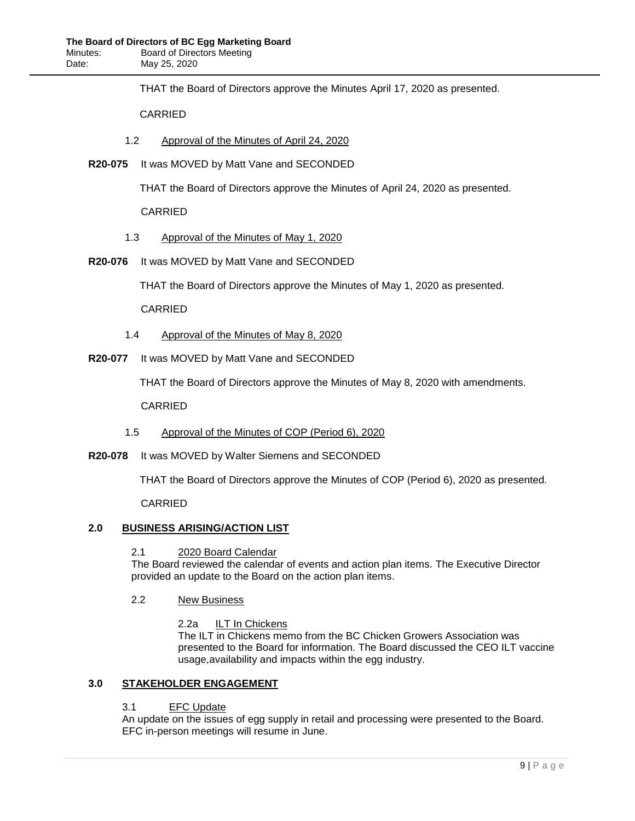THAT the Board of Directors approve the Minutes April 17, 2020 as presented.

CARRIED

- 1.2 Approval of the Minutes of April 24, 2020
- **R20-075** It was MOVED by Matt Vane and SECONDED

THAT the Board of Directors approve the Minutes of April 24, 2020 as presented.

CARRIED

- 1.3 Approval of the Minutes of May 1, 2020
- **R20-076** It was MOVED by Matt Vane and SECONDED

THAT the Board of Directors approve the Minutes of May 1, 2020 as presented.

CARRIED

- 1.4 Approval of the Minutes of May 8, 2020
- **R20-077** It was MOVED by Matt Vane and SECONDED

THAT the Board of Directors approve the Minutes of May 8, 2020 with amendments.

CARRIED

- 1.5 Approval of the Minutes of COP (Period 6), 2020
- **R20-078** It was MOVED by Walter Siemens and SECONDED

THAT the Board of Directors approve the Minutes of COP (Period 6), 2020 as presented.

CARRIED

## **2.0 BUSINESS ARISING/ACTION LIST**

## 2.1 2020 Board Calendar

The Board reviewed the calendar of events and action plan items. The Executive Director provided an update to the Board on the action plan items.

## 2.2 New Business

2.2a ILT In Chickens

The ILT in Chickens memo from the BC Chicken Growers Association was presented to the Board for information. The Board discussed the CEO ILT vaccine usage,availability and impacts within the egg industry.

## **3.0 STAKEHOLDER ENGAGEMENT**

## 3.1 EFC Update

An update on the issues of egg supply in retail and processing were presented to the Board. EFC in-person meetings will resume in June.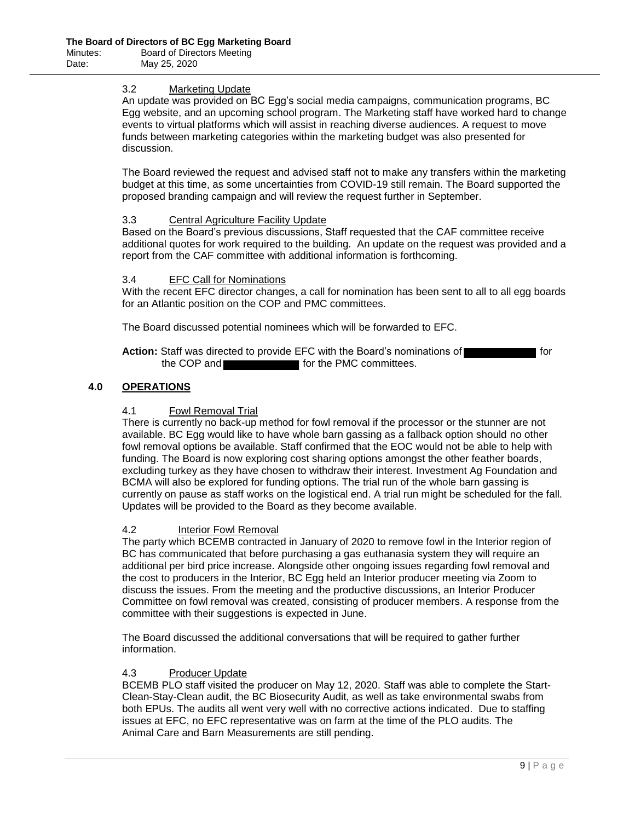## 3.2 Marketing Update

An update was provided on BC Egg's social media campaigns, communication programs, BC Egg website, and an upcoming school program. The Marketing staff have worked hard to change events to virtual platforms which will assist in reaching diverse audiences. A request to move funds between marketing categories within the marketing budget was also presented for discussion.

The Board reviewed the request and advised staff not to make any transfers within the marketing budget at this time, as some uncertainties from COVID-19 still remain. The Board supported the proposed branding campaign and will review the request further in September.

## 3.3 Central Agriculture Facility Update

Based on the Board's previous discussions, Staff requested that the CAF committee receive additional quotes for work required to the building. An update on the request was provided and a report from the CAF committee with additional information is forthcoming.

## 3.4 EFC Call for Nominations

With the recent EFC director changes, a call for nomination has been sent to all to all egg boards for an Atlantic position on the COP and PMC committees.

The Board discussed potential nominees which will be forwarded to EFC.

## **Action:** Staff was directed to provide EFC with the Board's nominations of **function** for the COP and **for the PMC committees.**

## **4.0 OPERATIONS**

## 4.1 Fowl Removal Trial

There is currently no back-up method for fowl removal if the processor or the stunner are not available. BC Egg would like to have whole barn gassing as a fallback option should no other fowl removal options be available. Staff confirmed that the EOC would not be able to help with funding. The Board is now exploring cost sharing options amongst the other feather boards, excluding turkey as they have chosen to withdraw their interest. Investment Ag Foundation and BCMA will also be explored for funding options. The trial run of the whole barn gassing is currently on pause as staff works on the logistical end. A trial run might be scheduled for the fall. Updates will be provided to the Board as they become available.

## 4.2 Interior Fowl Removal

The party which BCEMB contracted in January of 2020 to remove fowl in the Interior region of BC has communicated that before purchasing a gas euthanasia system they will require an additional per bird price increase. Alongside other ongoing issues regarding fowl removal and the cost to producers in the Interior, BC Egg held an Interior producer meeting via Zoom to discuss the issues. From the meeting and the productive discussions, an Interior Producer Committee on fowl removal was created, consisting of producer members. A response from the committee with their suggestions is expected in June.

The Board discussed the additional conversations that will be required to gather further information.

## 4.3 Producer Update

BCEMB PLO staff visited the producer on May 12, 2020. Staff was able to complete the Start-Clean-Stay-Clean audit, the BC Biosecurity Audit, as well as take environmental swabs from both EPUs. The audits all went very well with no corrective actions indicated. Due to staffing issues at EFC, no EFC representative was on farm at the time of the PLO audits. The Animal Care and Barn Measurements are still pending.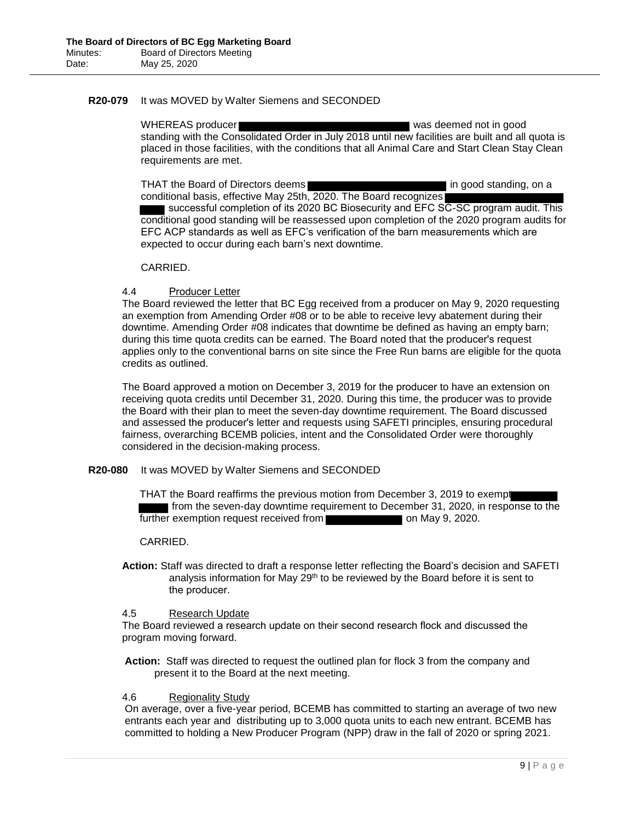### **R20-079** It was MOVED by Walter Siemens and SECONDED

WHEREAS producer was deemed not in good standing with the Consolidated Order in July 2018 until new facilities are built and all quota is placed in those facilities, with the conditions that all Animal Care and Start Clean Stay Clean requirements are met.

THAT the Board of Directors deems **in the standing** in good standing, on a conditional basis, effective May 25th, 2020. The Board recognizes successful completion of its 2020 BC Biosecurity and EFC SC-SC program audit. This conditional good standing will be reassessed upon completion of the 2020 program audits for EFC ACP standards as well as EFC's verification of the barn measurements which are expected to occur during each barn's next downtime.

### CARRIED.

## 4.4 Producer Letter

The Board reviewed the letter that BC Egg received from a producer on May 9, 2020 requesting an exemption from Amending Order #08 or to be able to receive levy abatement during their downtime. Amending Order #08 indicates that downtime be defined as having an empty barn; during this time quota credits can be earned. The Board noted that the producer's request applies only to the conventional barns on site since the Free Run barns are eligible for the quota credits as outlined.

The Board approved a motion on December 3, 2019 for the producer to have an extension on receiving quota credits until December 31, 2020. During this time, the producer was to provide the Board with their plan to meet the seven-day downtime requirement. The Board discussed and assessed the producer's letter and requests using SAFETI principles, ensuring procedural fairness, overarching BCEMB policies, intent and the Consolidated Order were thoroughly considered in the decision-making process.

#### **R20-080** It was MOVED by Walter Siemens and SECONDED

THAT the Board reaffirms the previous motion from December 3, 2019 to exempt from the seven-day downtime requirement to December 31, 2020, in response to the further exemption request received from **the contract on May 9, 2020.** 

#### CARRIED.

**Action:** Staff was directed to draft a response letter reflecting the Board's decision and SAFETI analysis information for May 29th to be reviewed by the Board before it is sent to the producer.

#### 4.5 Research Update

The Board reviewed a research update on their second research flock and discussed the program moving forward.

**Action:** Staff was directed to request the outlined plan for flock 3 from the company and present it to the Board at the next meeting.

### 4.6 Regionality Study

On average, over a five-year period, BCEMB has committed to starting an average of two new entrants each year and distributing up to 3,000 quota units to each new entrant. BCEMB has committed to holding a New Producer Program (NPP) draw in the fall of 2020 or spring 2021.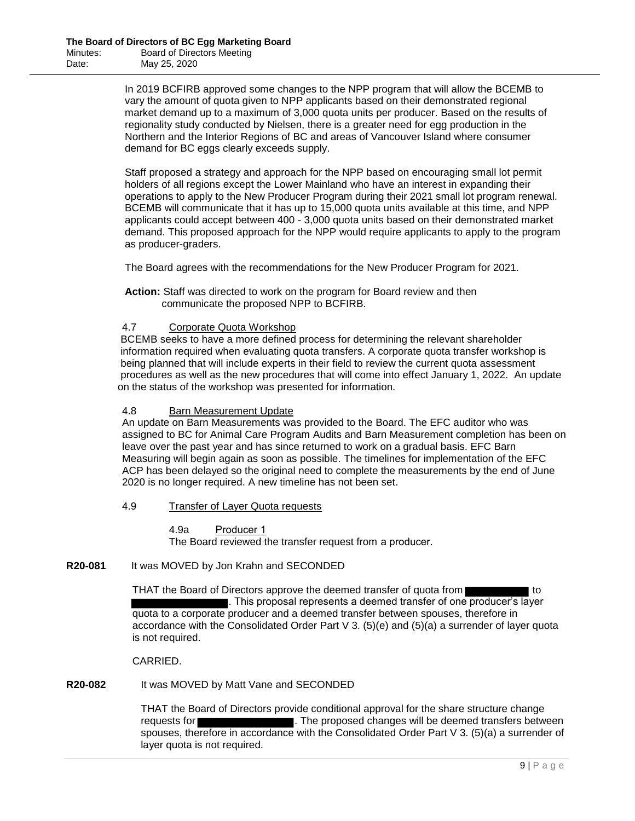In 2019 BCFIRB approved some changes to the NPP program that will allow the BCEMB to vary the amount of quota given to NPP applicants based on their demonstrated regional market demand up to a maximum of 3,000 quota units per producer. Based on the results of regionality study conducted by Nielsen, there is a greater need for egg production in the Northern and the Interior Regions of BC and areas of Vancouver Island where consumer demand for BC eggs clearly exceeds supply.

Staff proposed a strategy and approach for the NPP based on encouraging small lot permit holders of all regions except the Lower Mainland who have an interest in expanding their operations to apply to the New Producer Program during their 2021 small lot program renewal. BCEMB will communicate that it has up to 15,000 quota units available at this time, and NPP applicants could accept between 400 - 3,000 quota units based on their demonstrated market demand. This proposed approach for the NPP would require applicants to apply to the program as producer-graders.

The Board agrees with the recommendations for the New Producer Program for 2021.

**Action:** Staff was directed to work on the program for Board review and then communicate the proposed NPP to BCFIRB.

## 4.7 Corporate Quota Workshop

BCEMB seeks to have a more defined process for determining the relevant shareholder information required when evaluating quota transfers. A corporate quota transfer workshop is being planned that will include experts in their field to review the current quota assessment procedures as well as the new procedures that will come into effect January 1, 2022. An update on the status of the workshop was presented for information.

### 4.8 Barn Measurement Update

An update on Barn Measurements was provided to the Board. The EFC auditor who was assigned to BC for Animal Care Program Audits and Barn Measurement completion has been on leave over the past year and has since returned to work on a gradual basis. EFC Barn Measuring will begin again as soon as possible. The timelines for implementation of the EFC ACP has been delayed so the original need to complete the measurements by the end of June 2020 is no longer required. A new timeline has not been set.

#### 4.9 Transfer of Layer Quota requests

4.9a Producer 1 The Board reviewed the transfer request from a producer.

### **R20-081** It was MOVED by Jon Krahn and SECONDED

THAT the Board of Directors approve the deemed transfer of quota from **THAT** to . This proposal represents a deemed transfer of one producer's layer quota to a corporate producer and a deemed transfer between spouses, therefore in accordance with the Consolidated Order Part V 3. (5)(e) and (5)(a) a surrender of layer quota is not required.

CARRIED.

## **R20-082** It was MOVED by Matt Vane and SECONDED

THAT the Board of Directors provide conditional approval for the share structure change requests for **the changes** . The proposed changes will be deemed transfers between spouses, therefore in accordance with the Consolidated Order Part V 3. (5)(a) a surrender of layer quota is not required.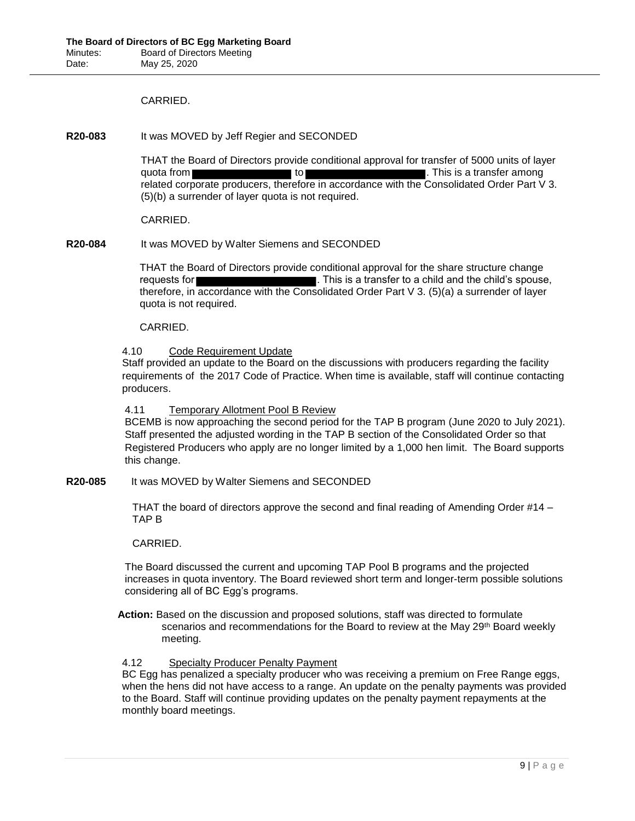## CARRIED.

**R20-083** It was MOVED by Jeff Regier and SECONDED

THAT the Board of Directors provide conditional approval for transfer of 5000 units of layer quota from **the set of the set of the set of the set of the set of the set of the set of the set of the set of the set of the set of the set of the set of the set of the set of the set of the set of the set of the set of t** related corporate producers, therefore in accordance with the Consolidated Order Part V 3. (5)(b) a surrender of layer quota is not required.

### CARRIED.

**R20-084** It was MOVED by Walter Siemens and SECONDED

THAT the Board of Directors provide conditional approval for the share structure change requests for **the child's spouse,** This is a transfer to a child and the child's spouse, therefore, in accordance with the Consolidated Order Part V 3. (5)(a) a surrender of layer quota is not required.

## CARRIED.

## 4.10 Code Requirement Update

Staff provided an update to the Board on the discussions with producers regarding the facility requirements of the 2017 Code of Practice. When time is available, staff will continue contacting producers.

4.11 Temporary Allotment Pool B Review

BCEMB is now approaching the second period for the TAP B program (June 2020 to July 2021). Staff presented the adjusted wording in the TAP B section of the Consolidated Order so that Registered Producers who apply are no longer limited by a 1,000 hen limit. The Board supports this change.

**R20-085** It was MOVED by Walter Siemens and SECONDED

THAT the board of directors approve the second and final reading of Amending Order #14 – TAP B

## CARRIED.

The Board discussed the current and upcoming TAP Pool B programs and the projected increases in quota inventory. The Board reviewed short term and longer-term possible solutions considering all of BC Egg's programs.

**Action:** Based on the discussion and proposed solutions, staff was directed to formulate scenarios and recommendations for the Board to review at the May 29th Board weekly meeting.

## 4.12 Specialty Producer Penalty Payment

BC Egg has penalized a specialty producer who was receiving a premium on Free Range eggs, when the hens did not have access to a range. An update on the penalty payments was provided to the Board. Staff will continue providing updates on the penalty payment repayments at the monthly board meetings.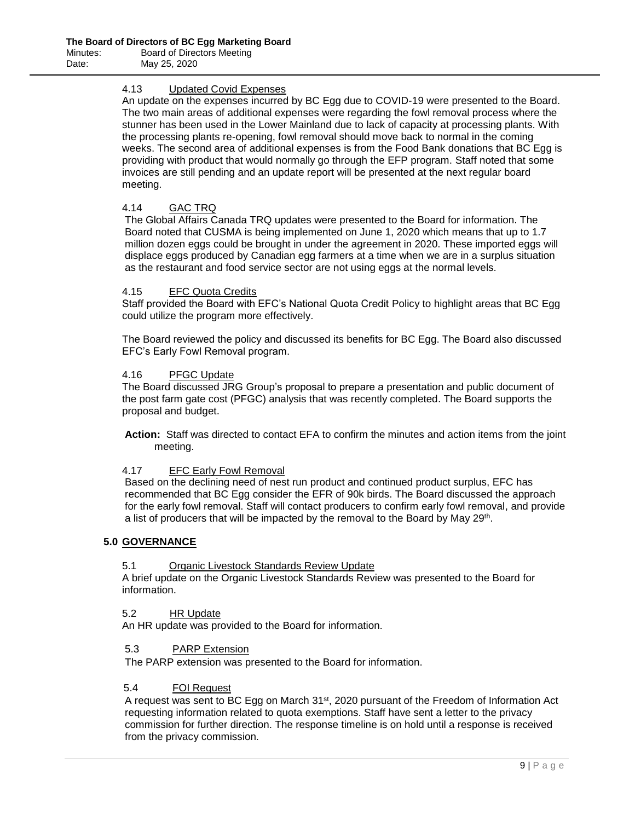## 4.13 Updated Covid Expenses

An update on the expenses incurred by BC Egg due to COVID-19 were presented to the Board. The two main areas of additional expenses were regarding the fowl removal process where the stunner has been used in the Lower Mainland due to lack of capacity at processing plants. With the processing plants re-opening, fowl removal should move back to normal in the coming weeks. The second area of additional expenses is from the Food Bank donations that BC Egg is providing with product that would normally go through the EFP program. Staff noted that some invoices are still pending and an update report will be presented at the next regular board meeting.

## 4.14 GAC TRQ

The Global Affairs Canada TRQ updates were presented to the Board for information. The Board noted that CUSMA is being implemented on June 1, 2020 which means that up to 1.7 million dozen eggs could be brought in under the agreement in 2020. These imported eggs will displace eggs produced by Canadian egg farmers at a time when we are in a surplus situation as the restaurant and food service sector are not using eggs at the normal levels.

### 4.15 EFC Quota Credits

Staff provided the Board with EFC's National Quota Credit Policy to highlight areas that BC Egg could utilize the program more effectively.

The Board reviewed the policy and discussed its benefits for BC Egg. The Board also discussed EFC's Early Fowl Removal program.

### 4.16 PFGC Update

The Board discussed JRG Group's proposal to prepare a presentation and public document of the post farm gate cost (PFGC) analysis that was recently completed. The Board supports the proposal and budget.

**Action:** Staff was directed to contact EFA to confirm the minutes and action items from the joint meeting.

## 4.17 EFC Early Fowl Removal

Based on the declining need of nest run product and continued product surplus, EFC has recommended that BC Egg consider the EFR of 90k birds. The Board discussed the approach for the early fowl removal. Staff will contact producers to confirm early fowl removal, and provide a list of producers that will be impacted by the removal to the Board by May 29<sup>th</sup>.

## **5.0 GOVERNANCE**

## 5.1 Organic Livestock Standards Review Update

A brief update on the Organic Livestock Standards Review was presented to the Board for information.

5.2 HR Update

An HR update was provided to the Board for information.

## 5.3 PARP Extension

The PARP extension was presented to the Board for information.

## 5.4 FOI Request

A request was sent to BC Egg on March 31<sup>st</sup>, 2020 pursuant of the Freedom of Information Act requesting information related to quota exemptions. Staff have sent a letter to the privacy commission for further direction. The response timeline is on hold until a response is received from the privacy commission.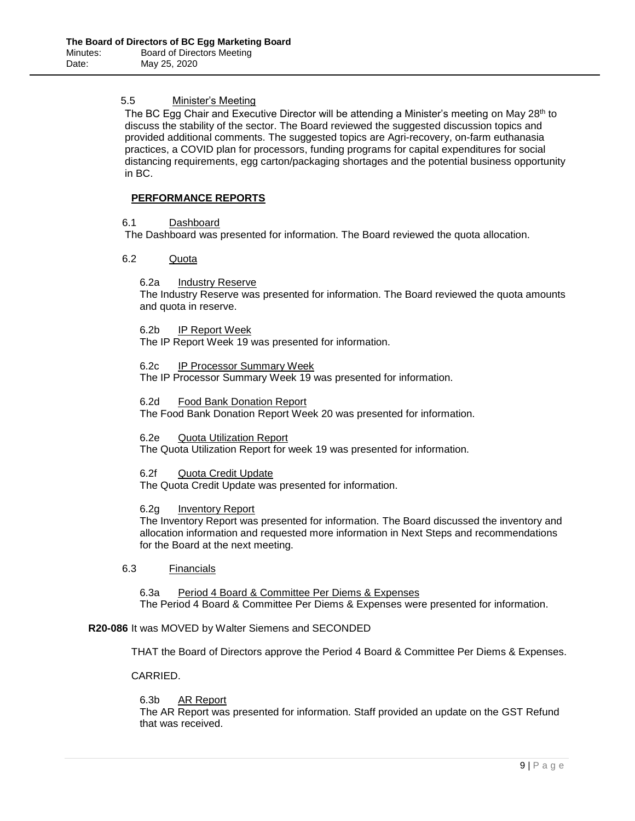## 5.5 Minister's Meeting

The BC Egg Chair and Executive Director will be attending a Minister's meeting on May 28<sup>th</sup> to discuss the stability of the sector. The Board reviewed the suggested discussion topics and provided additional comments. The suggested topics are Agri-recovery, on-farm euthanasia practices, a COVID plan for processors, funding programs for capital expenditures for social distancing requirements, egg carton/packaging shortages and the potential business opportunity in BC.

## **PERFORMANCE REPORTS**

## 6.1 Dashboard

The Dashboard was presented for information. The Board reviewed the quota allocation.

### 6.2 Quota

### 6.2a Industry Reserve

The Industry Reserve was presented for information. The Board reviewed the quota amounts and quota in reserve.

6.2b IP Report Week

The IP Report Week 19 was presented for information.

#### 6.2c IP Processor Summary Week

The IP Processor Summary Week 19 was presented for information.

#### 6.2d Food Bank Donation Report

The Food Bank Donation Report Week 20 was presented for information.

#### 6.2e Quota Utilization Report

The Quota Utilization Report for week 19 was presented for information.

#### 6.2f Quota Credit Update

The Quota Credit Update was presented for information.

#### 6.2g Inventory Report

The Inventory Report was presented for information. The Board discussed the inventory and allocation information and requested more information in Next Steps and recommendations for the Board at the next meeting.

### 6.3 Financials

6.3a Period 4 Board & Committee Per Diems & Expenses The Period 4 Board & Committee Per Diems & Expenses were presented for information.

#### **R20-086** It was MOVED by Walter Siemens and SECONDED

THAT the Board of Directors approve the Period 4 Board & Committee Per Diems & Expenses.

CARRIED.

#### 6.3b AR Report

The AR Report was presented for information. Staff provided an update on the GST Refund that was received.